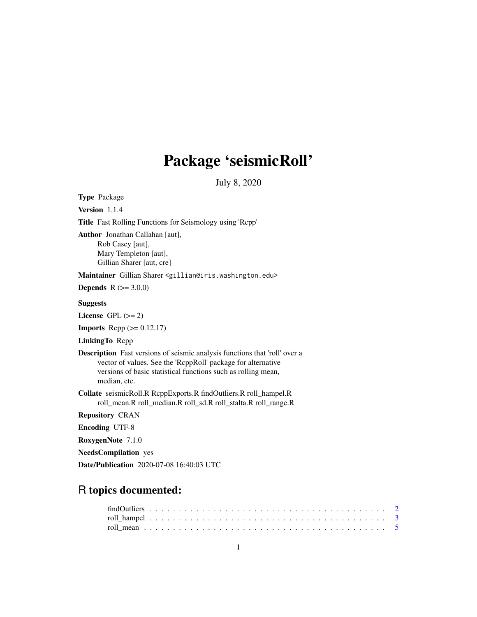# Package 'seismicRoll'

July 8, 2020

Type Package Version 1.1.4 Title Fast Rolling Functions for Seismology using 'Rcpp' Author Jonathan Callahan [aut], Rob Casey [aut], Mary Templeton [aut], Gillian Sharer [aut, cre] Maintainer Gillian Sharer <gillian@iris.washington.edu> **Depends** R  $(>= 3.0.0)$ Suggests License GPL  $(>= 2)$ **Imports** Rcpp  $(>= 0.12.17)$ LinkingTo Rcpp Description Fast versions of seismic analysis functions that 'roll' over a vector of values. See the 'RcppRoll' package for alternative versions of basic statistical functions such as rolling mean, median, etc. Collate seismicRoll.R RcppExports.R findOutliers.R roll\_hampel.R roll\_mean.R roll\_median.R roll\_sd.R roll\_stalta.R roll\_range.R Repository CRAN Encoding UTF-8 RoxygenNote 7.1.0 NeedsCompilation yes Date/Publication 2020-07-08 16:40:03 UTC

## R topics documented: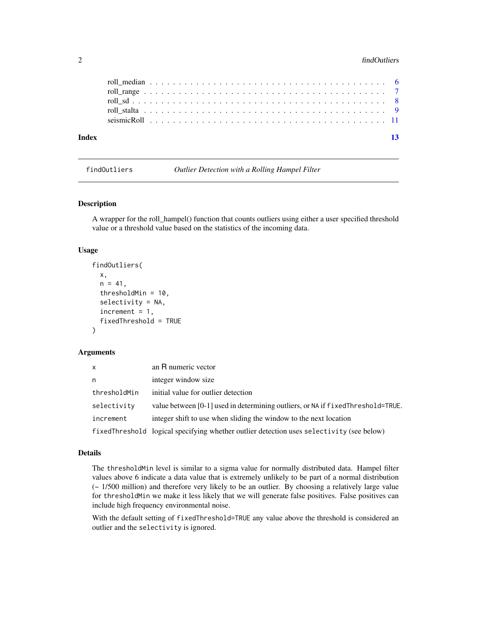#### <span id="page-1-0"></span>2 findOutliers

| Index |  |  |  |  |  |  |  |  |  |  |  |  |  |  |  |  |  | $\overline{13}$ |  |
|-------|--|--|--|--|--|--|--|--|--|--|--|--|--|--|--|--|--|-----------------|--|
|       |  |  |  |  |  |  |  |  |  |  |  |  |  |  |  |  |  |                 |  |
|       |  |  |  |  |  |  |  |  |  |  |  |  |  |  |  |  |  |                 |  |
|       |  |  |  |  |  |  |  |  |  |  |  |  |  |  |  |  |  |                 |  |
|       |  |  |  |  |  |  |  |  |  |  |  |  |  |  |  |  |  |                 |  |
|       |  |  |  |  |  |  |  |  |  |  |  |  |  |  |  |  |  |                 |  |

<span id="page-1-1"></span>findOutliers *Outlier Detection with a Rolling Hampel Filter*

#### Description

A wrapper for the roll\_hampel() function that counts outliers using either a user specified threshold value or a threshold value based on the statistics of the incoming data.

#### Usage

```
findOutliers(
  x,
 n = 41,
  thresholdMin = 10,
  selectivity = NA,
  increment = 1,fixedThreshold = TRUE
)
```
#### Arguments

| X            | an R numeric vector                                                                      |
|--------------|------------------------------------------------------------------------------------------|
| n            | integer window size.                                                                     |
| thresholdMin | initial value for outlier detection                                                      |
| selectivity  | value between [0-1] used in determining outliers, or NA if f ixedThreshold=TRUE.         |
| increment    | integer shift to use when sliding the window to the next location                        |
|              | fixedThreshold logical specifying whether outlier detection uses selectivity (see below) |

#### Details

The thresholdMin level is similar to a sigma value for normally distributed data. Hampel filter values above 6 indicate a data value that is extremely unlikely to be part of a normal distribution (~ 1/500 million) and therefore very likely to be an outlier. By choosing a relatively large value for thresholdMin we make it less likely that we will generate false positives. False positives can include high frequency environmental noise.

With the default setting of fixedThreshold=TRUE any value above the threshold is considered an outlier and the selectivity is ignored.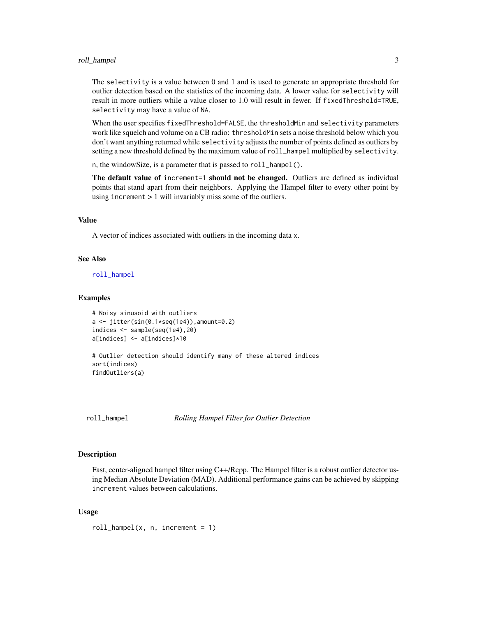#### <span id="page-2-0"></span>roll\_hampel 3

The selectivity is a value between 0 and 1 and is used to generate an appropriate threshold for outlier detection based on the statistics of the incoming data. A lower value for selectivity will result in more outliers while a value closer to 1.0 will result in fewer. If fixedThreshold=TRUE, selectivity may have a value of NA.

When the user specifies fixedThreshold=FALSE, the thresholdMin and selectivity parameters work like squelch and volume on a CB radio: thresholdMin sets a noise threshold below which you don't want anything returned while selectivity adjusts the number of points defined as outliers by setting a new threshold defined by the maximum value of roll\_hampel multiplied by selectivity.

n, the windowSize, is a parameter that is passed to roll\_hampel().

The default value of increment=1 should not be changed. Outliers are defined as individual points that stand apart from their neighbors. Applying the Hampel filter to every other point by using increment > 1 will invariably miss some of the outliers.

#### Value

A vector of indices associated with outliers in the incoming data x.

#### See Also

[roll\\_hampel](#page-2-1)

#### Examples

```
# Noisy sinusoid with outliers
a \leftarrow jitter(sin(0.1*seq(1e4)), amount=0.2)
indices <- sample(seq(1e4),20)
a[indices] <- a[indices]*10
# Outlier detection should identify many of these altered indices
sort(indices)
findOutliers(a)
```
<span id="page-2-1"></span>roll\_hampel *Rolling Hampel Filter for Outlier Detection*

#### Description

Fast, center-aligned hampel filter using C++/Rcpp. The Hampel filter is a robust outlier detector using Median Absolute Deviation (MAD). Additional performance gains can be achieved by skipping increment values between calculations.

#### Usage

 $roll\_hamped(x, n, increment = 1)$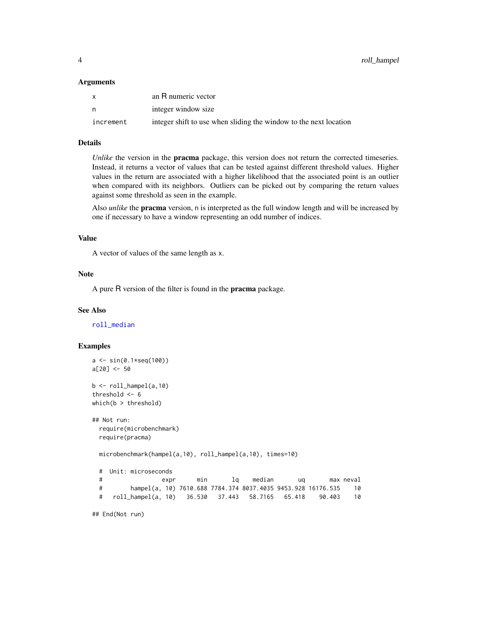#### <span id="page-3-0"></span>Arguments

| X         | an R numeric vector                                               |
|-----------|-------------------------------------------------------------------|
| n         | integer window size                                               |
| increment | integer shift to use when sliding the window to the next location |

#### Details

*Unlike* the version in the **pracma** package, this version does not return the corrected timeseries. Instead, it returns a vector of values that can be tested against different threshold values. Higher values in the return are associated with a higher likelihood that the associated point is an outlier when compared with its neighbors. Outliers can be picked out by comparing the return values against some threshold as seen in the example.

Also *unlike* the pracma version, n is interpreted as the full window length and will be increased by one if necessary to have a window representing an odd number of indices.

#### Value

A vector of values of the same length as x.

#### Note

A pure R version of the filter is found in the **pracma** package.

#### See Also

[roll\\_median](#page-5-1)

### Examples

```
a <- sin(0.1*seq(100))
a[20] <- 50
b \leftarrow roll\_hamped(a,10)threshold <- 6
which(b > threshold)
## Not run:
 require(microbenchmark)
 require(pracma)
 microbenchmark(hampel(a,10), roll_hampel(a,10), times=10)
 # Unit: microseconds
  # expr min lq median uq max neval
 # hampel(a, 10) 7610.688 7784.374 8037.4035 9453.928 16176.535 10
 # roll_hampel(a, 10) 36.530 37.443 58.7165 65.418 90.403 10
```
## End(Not run)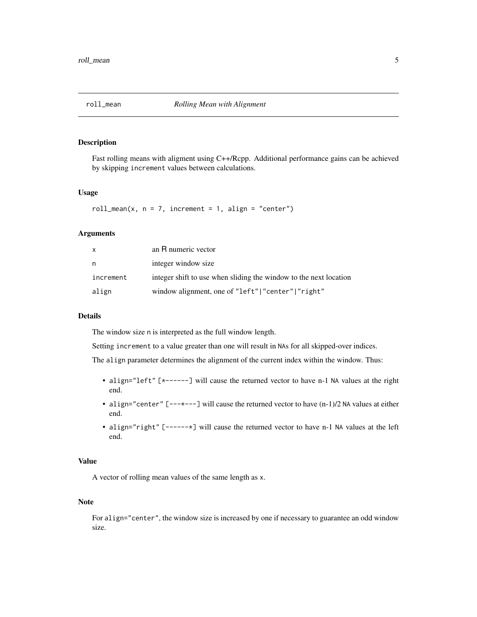<span id="page-4-1"></span><span id="page-4-0"></span>

#### Description

Fast rolling means with aligment using C++/Rcpp. Additional performance gains can be achieved by skipping increment values between calculations.

#### Usage

roll\_mean(x,  $n = 7$ , increment = 1, align = "center")

#### Arguments

| X         | an R numeric vector                                               |
|-----------|-------------------------------------------------------------------|
| n         | integer window size.                                              |
| increment | integer shift to use when sliding the window to the next location |
| align     | window alignment, one of "left"   "center"   "right"              |

#### Details

The window size n is interpreted as the full window length.

Setting increment to a value greater than one will result in NAs for all skipped-over indices.

The align parameter determines the alignment of the current index within the window. Thus:

- align="left" [\*------] will cause the returned vector to have n-1 NA values at the right end.
- align="center" [---\*---] will cause the returned vector to have  $(n-1)/2$  NA values at either end.
- align="right" [------\*] will cause the returned vector to have n-1 NA values at the left end.

#### Value

A vector of rolling mean values of the same length as x.

#### Note

For align="center", the window size is increased by one if necessary to guarantee an odd window size.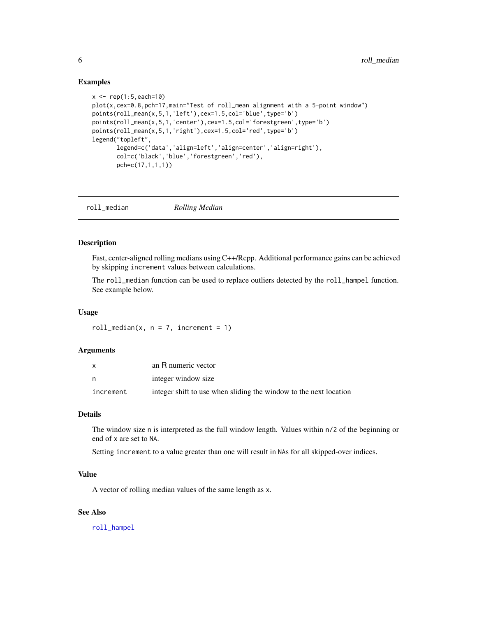#### Examples

```
x \leq - rep(1:5, each=10)
plot(x,cex=0.8,pch=17,main="Test of roll_mean alignment with a 5-point window")
points(roll_mean(x,5,1,'left'),cex=1.5,col='blue',type='b')
points(roll_mean(x,5,1,'center'),cex=1.5,col='forestgreen',type='b')
points(roll_mean(x,5,1,'right'),cex=1.5,col='red',type='b')
legend("topleft",
       legend=c('data','align=left','align=center','align=right'),
       col=c('black','blue','forestgreen','red'),
       pch=c(17,1,1,1))
```
<span id="page-5-1"></span>roll\_median *Rolling Median*

#### Description

Fast, center-aligned rolling medians using C++/Rcpp. Additional performance gains can be achieved by skipping increment values between calculations.

The roll\_median function can be used to replace outliers detected by the roll\_hampel function. See example below.

#### Usage

```
roll_median(x, n = 7, increment = 1)
```
#### Arguments

|           | an R numeric vector                                               |
|-----------|-------------------------------------------------------------------|
|           | integer window size                                               |
| increment | integer shift to use when sliding the window to the next location |

#### Details

The window size n is interpreted as the full window length. Values within n/2 of the beginning or end of x are set to NA.

Setting increment to a value greater than one will result in NAs for all skipped-over indices.

#### Value

A vector of rolling median values of the same length as x.

#### See Also

[roll\\_hampel](#page-2-1)

<span id="page-5-0"></span>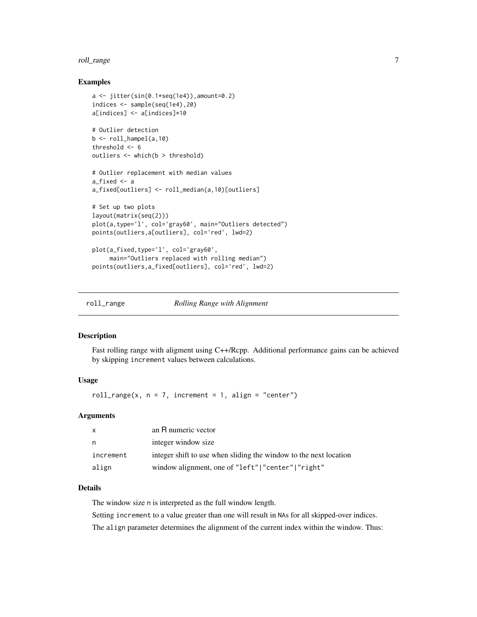#### <span id="page-6-0"></span>roll\_range 7 and 7 and 7 and 7 and 7 and 7 and 7 and 7 and 7 and 7 and 7 and 7 and 7 and 7 and 7 and 7 and 7 and 7 and 7 and 7 and 7 and 7 and 7 and 7 and 7 and 7 and 7 and 7 and 7 and 7 and 7 and 7 and 7 and 7 and 7 and 7

#### Examples

```
a \leftarrow \text{jitter}(\sin(\theta.1*) \cdot \text{seq}(1e4)), amount=0.2)
indices <- sample(seq(1e4),20)
a[indices] <- a[indices]*10
# Outlier detection
b \le roll_hampel(a,10)
threshold <- 6
outliers <- which(b > threshold)
# Outlier replacement with median values
a_fixed <- a
a_fixed[outliers] <- roll_median(a,10)[outliers]
# Set up two plots
layout(matrix(seq(2)))
plot(a,type='l', col='gray60', main="Outliers detected")
points(outliers,a[outliers], col='red', lwd=2)
plot(a_fixed,type='l', col='gray60',
     main="Outliers replaced with rolling median")
points(outliers,a_fixed[outliers], col='red', lwd=2)
```
<span id="page-6-1"></span>roll\_range *Rolling Range with Alignment*

#### Description

Fast rolling range with aligment using C++/Rcpp. Additional performance gains can be achieved by skipping increment values between calculations.

#### Usage

roll\_range(x,  $n = 7$ , increment = 1, align = "center")

#### Arguments

| $\mathsf{x}$ | an R numeric vector                                               |
|--------------|-------------------------------------------------------------------|
| n,           | integer window size                                               |
| increment    | integer shift to use when sliding the window to the next location |
| align        | window alignment, one of "left"   "center"   "right"              |

#### Details

The window size n is interpreted as the full window length.

Setting increment to a value greater than one will result in NAs for all skipped-over indices.

The align parameter determines the alignment of the current index within the window. Thus: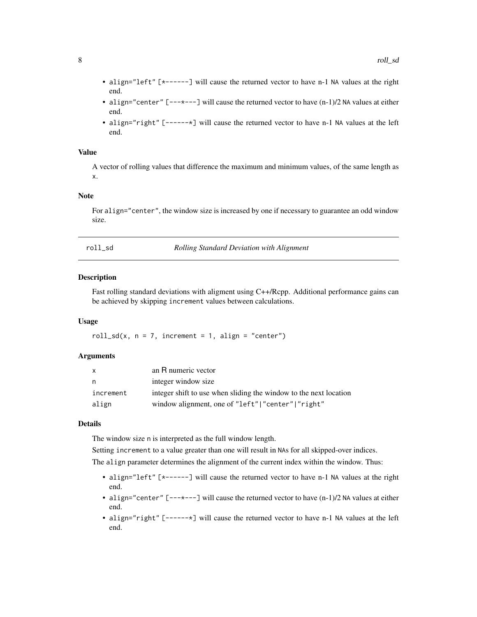- <span id="page-7-0"></span>• align="left" [\*------] will cause the returned vector to have n-1 NA values at the right end.
- align="center"  $[---+--]$  will cause the returned vector to have  $(n-1)/2$  NA values at either end.
- align="right" [------\*] will cause the returned vector to have n-1 NA values at the left end.

#### Value

A vector of rolling values that difference the maximum and minimum values, of the same length as x.

#### Note

For align="center", the window size is increased by one if necessary to guarantee an odd window size.

<span id="page-7-1"></span>roll\_sd *Rolling Standard Deviation with Alignment*

#### **Description**

Fast rolling standard deviations with aligment using C++/Rcpp. Additional performance gains can be achieved by skipping increment values between calculations.

#### Usage

roll\_sd(x,  $n = 7$ , increment = 1, align = "center")

#### Arguments

| X         | an R numeric vector                                               |
|-----------|-------------------------------------------------------------------|
| n         | integer window size                                               |
| increment | integer shift to use when sliding the window to the next location |
| align     | window alignment, one of "left"   "center"   "right"              |

#### Details

The window size n is interpreted as the full window length.

Setting increment to a value greater than one will result in NAs for all skipped-over indices.

The align parameter determines the alignment of the current index within the window. Thus:

- align="left" [\*------] will cause the returned vector to have n-1 NA values at the right end.
- align="center" [---\*---] will cause the returned vector to have (n-1)/2 NA values at either end.
- align="right" [------\*] will cause the returned vector to have n-1 NA values at the left end.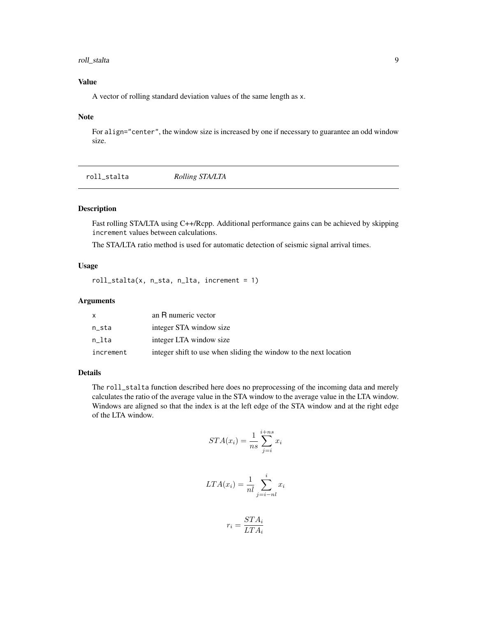#### <span id="page-8-0"></span>roll\_stalta 9

#### Value

A vector of rolling standard deviation values of the same length as x.

#### Note

For align="center", the window size is increased by one if necessary to guarantee an odd window size.

<span id="page-8-1"></span>

| roll_stalta | Rolling STA/LTA |  |  |
|-------------|-----------------|--|--|
|-------------|-----------------|--|--|

#### Description

Fast rolling STA/LTA using C++/Rcpp. Additional performance gains can be achieved by skipping increment values between calculations.

The STA/LTA ratio method is used for automatic detection of seismic signal arrival times.

#### Usage

roll\_stalta(x, n\_sta, n\_lta, increment = 1)

#### Arguments

|           | an R numeric vector                                               |
|-----------|-------------------------------------------------------------------|
| n_sta     | integer STA window size                                           |
| n lta     | integer LTA window size                                           |
| increment | integer shift to use when sliding the window to the next location |

#### Details

The roll\_stalta function described here does no preprocessing of the incoming data and merely calculates the ratio of the average value in the STA window to the average value in the LTA window. Windows are aligned so that the index is at the left edge of the STA window and at the right edge of the LTA window.

$$
STA(x_i) = \frac{1}{ns} \sum_{j=i}^{i+ns} x_i
$$

$$
LTA(x_i) = \frac{1}{nl} \sum_{j=i-nl}^{i} x_i
$$

$$
r_i = \frac{STA_i}{LTA_i}
$$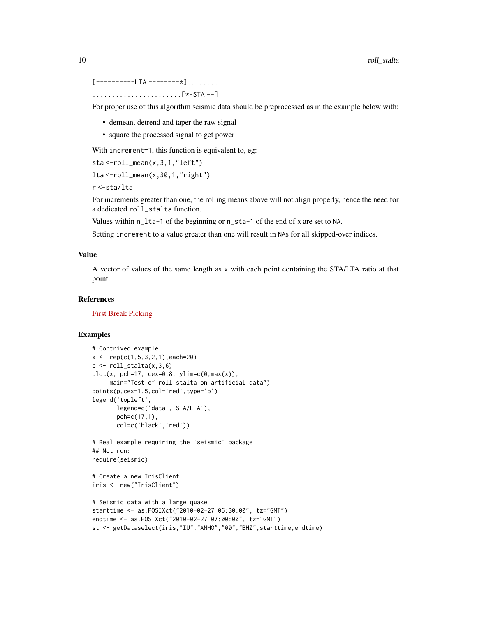[----------LTA ---------\*]........

.......................[\*-STA --]

For proper use of this algorithm seismic data should be preprocessed as in the example below with:

- demean, detrend and taper the raw signal
- square the processed signal to get power

With increment=1, this function is equivalent to, eg:

```
sta <-roll_mean(x,3,1,"left")
```
lta <-roll\_mean(x,30,1,"right")

r <-sta/lta

For increments greater than one, the rolling means above will not align properly, hence the need for a dedicated roll\_stalta function.

Values within n\_lta-1 of the beginning or n\_sta-1 of the end of x are set to NA.

Setting increment to a value greater than one will result in NAs for all skipped-over indices.

#### Value

A vector of values of the same length as x with each point containing the STA/LTA ratio at that point.

#### **References**

[First Break Picking](http://en.wikipedia.org/wiki/First_break_picking)

#### Examples

```
# Contrived example
x \leq -\text{rep}(c(1, 5, 3, 2, 1), each = 20)p \leftarrow roll\_stalta(x, 3, 6)plot(x, pch=17, cex=0.8, ylim=c(0,max(x)),main="Test of roll_stalta on artificial data")
points(p,cex=1.5,col='red',type='b')
legend('topleft',
       legend=c('data','STA/LTA'),
       pch=c(17,1),
       col=c('black','red'))
# Real example requiring the 'seismic' package
## Not run:
require(seismic)
# Create a new IrisClient
iris <- new("IrisClient")
# Seismic data with a large quake
starttime <- as.POSIXct("2010-02-27 06:30:00", tz="GMT")
endtime <- as.POSIXct("2010-02-27 07:00:00", tz="GMT")
st <- getDataselect(iris,"IU","ANMO","00","BHZ",starttime,endtime)
```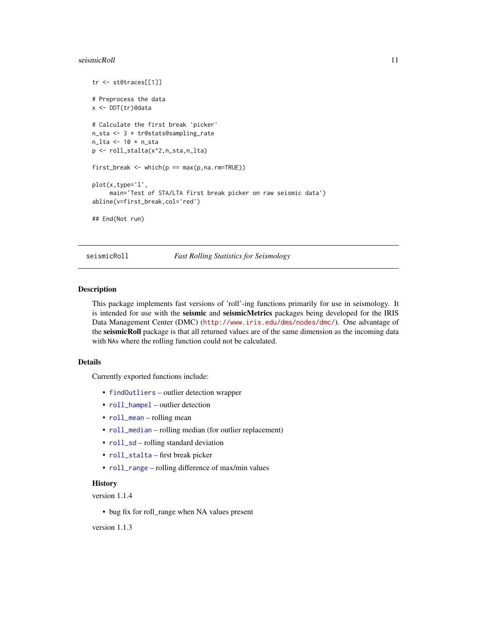#### <span id="page-10-0"></span>seismicRoll **11**

```
tr <- st@traces[[1]]
# Preprocess the data
x <- DDT(tr)@data
# Calculate the first break 'picker'
n_sta <- 3 * tr@stats@sampling_rate
n_lta <- 10 * n_sta
p <- roll_stalta(x^2,n_sta,n_lta)
first_break <- which(p == max(p,na.rm=TRUE))
plot(x,type='l',
     main='Test of STA/LTA first break picker on raw seismic data')
abline(v=first_break,col='red')
## End(Not run)
```
seismicRoll *Fast Rolling Statistics for Seismology*

#### Description

This package implements fast versions of 'roll'-ing functions primarily for use in seismology. It is intended for use with the seismic and seismicMetrics packages being developed for the IRIS Data Management Center (DMC) (<http://www.iris.edu/dms/nodes/dmc/>). One advantage of the seismicRoll package is that all returned values are of the same dimension as the incoming data with NAs where the rolling function could not be calculated.

#### Details

Currently exported functions include:

- [findOutliers](#page-1-1) outlier detection wrapper
- [roll\\_hampel](#page-2-1) outlier detection
- [roll\\_mean](#page-4-1) rolling mean
- $roll\_median rolling median (for outlier replacement)$
- $roll_s d$  rolling standard deviation
- [roll\\_stalta](#page-8-1) first break picker
- [roll\\_range](#page-6-1) rolling difference of max/min values

### **History**

version 1.1.4

• bug fix for roll\_range when NA values present

version 1.1.3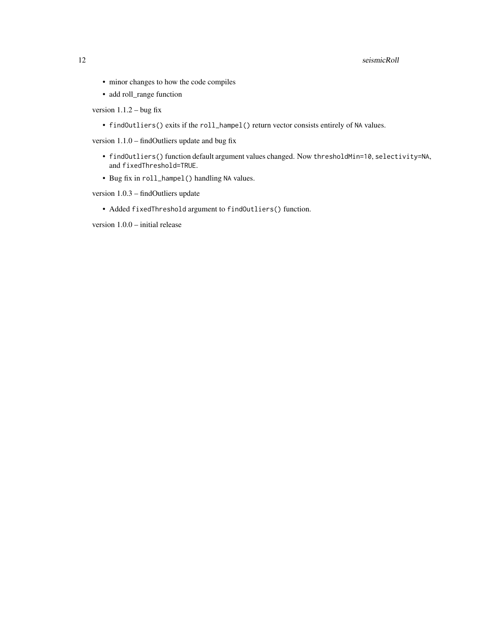- minor changes to how the code compiles
- add roll\_range function

version  $1.1.2 - b$ ug fix

• findOutliers() exits if the roll\_hampel() return vector consists entirely of NA values.

version 1.1.0 – findOutliers update and bug fix

- findOutliers() function default argument values changed. Now thresholdMin=10, selectivity=NA, and fixedThreshold=TRUE.
- Bug fix in roll\_hampel() handling NA values.

version 1.0.3 – findOutliers update

• Added fixedThreshold argument to findOutliers() function.

version 1.0.0 – initial release